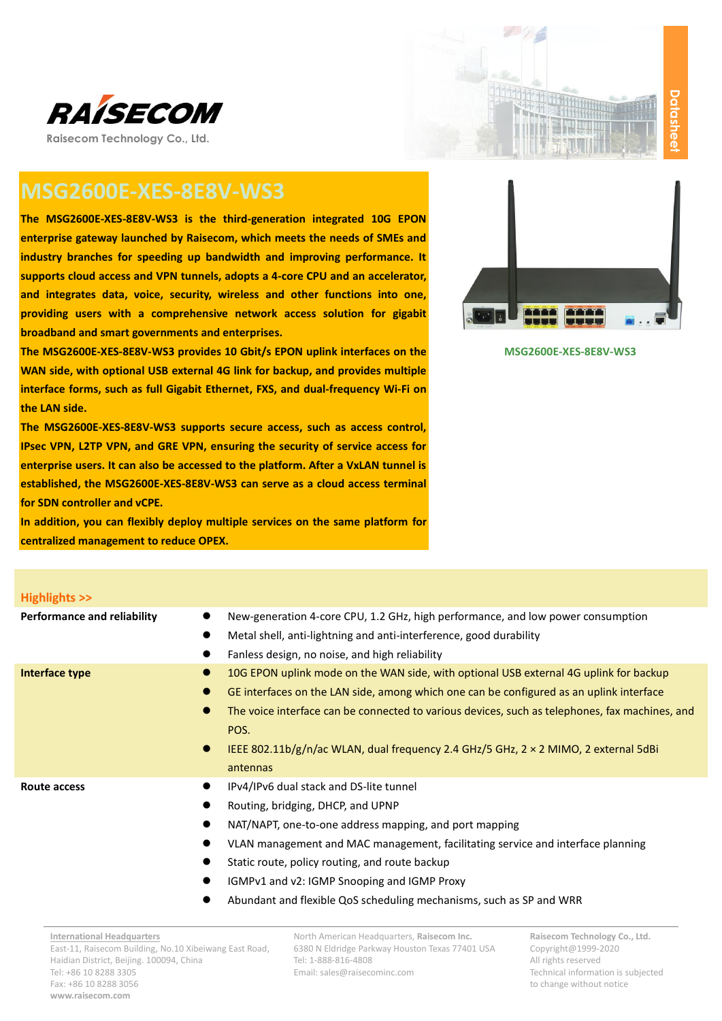



# **MSG2600E-XES-8E8V-WS3**

**The MSG2600E-XES-8E8V-WS3 is the third-generation integrated 10G EPON enterprise gateway launched by Raisecom, which meets the needs of SMEs and industry branches for speeding up bandwidth and improving performance. It supports cloud access and VPN tunnels, adopts a 4-core CPU and an accelerator, and integrates data, voice, security, wireless and other functions into one, providing users with a comprehensive network access solution for gigabit broadband and smart governments and enterprises.**

**The MSG2600E-XES-8E8V-WS3 provides 10 Gbit/s EPON uplink interfaces on the WAN side, with optional USB external 4G link for backup, and provides multiple interface forms, such as full Gigabit Ethernet, FXS, and dual-frequency Wi-Fi on the LAN side.**

**The MSG2600E-XES-8E8V-WS3 supports secure access, such as access control, IPsec VPN, L2TP VPN, and GRE VPN, ensuring the security of service access for enterprise users. It can also be accessed to the platform. After a VxLAN tunnel is established, the MSG2600E-XES-8E8V-WS3 can serve as a cloud access terminal for SDN controller and vCPE.**

**In addition, you can flexibly deploy multiple services on the same platform for centralized management to reduce OPEX.**



#### **MSG2600E-XES-8E8V-WS3**

| <b>Highlights &gt;&gt;</b>         |                                                                                                                                                                                                                                                                                                                                                                                                                                                          |
|------------------------------------|----------------------------------------------------------------------------------------------------------------------------------------------------------------------------------------------------------------------------------------------------------------------------------------------------------------------------------------------------------------------------------------------------------------------------------------------------------|
| <b>Performance and reliability</b> | New-generation 4-core CPU, 1.2 GHz, high performance, and low power consumption<br>Metal shell, anti-lightning and anti-interference, good durability<br>Fanless design, no noise, and high reliability                                                                                                                                                                                                                                                  |
| Interface type                     | 10G EPON uplink mode on the WAN side, with optional USB external 4G uplink for backup<br>$\bullet$<br>GE interfaces on the LAN side, among which one can be configured as an uplink interface<br>$\bullet$<br>$\bullet$<br>The voice interface can be connected to various devices, such as telephones, fax machines, and<br>POS.<br>IEEE 802.11b/g/n/ac WLAN, dual frequency 2.4 GHz/5 GHz, $2 \times 2$ MIMO, 2 external 5dBi<br>$\bullet$<br>antennas |
| Route access                       | IPv4/IPv6 dual stack and DS-lite tunnel<br>Routing, bridging, DHCP, and UPNP<br>NAT/NAPT, one-to-one address mapping, and port mapping<br>VLAN management and MAC management, facilitating service and interface planning<br>Static route, policy routing, and route backup<br>IGMPv1 and v2: IGMP Snooping and IGMP Proxy<br>Abundant and flexible QoS scheduling mechanisms, such as SP and WRR                                                        |
| <b>International Headquarters</b>  | North American Headquarters, Raisecom Inc.<br>Raisecom Technology Co., Ltd.                                                                                                                                                                                                                                                                                                                                                                              |

6380 N Eldridge Parkway Houston Texas 77401 USA Tel: 1-888-816-4808 Email: sales@raisecominc.com

Copyright@1999-2020 All rights reserved Technical information is subjected to change without notice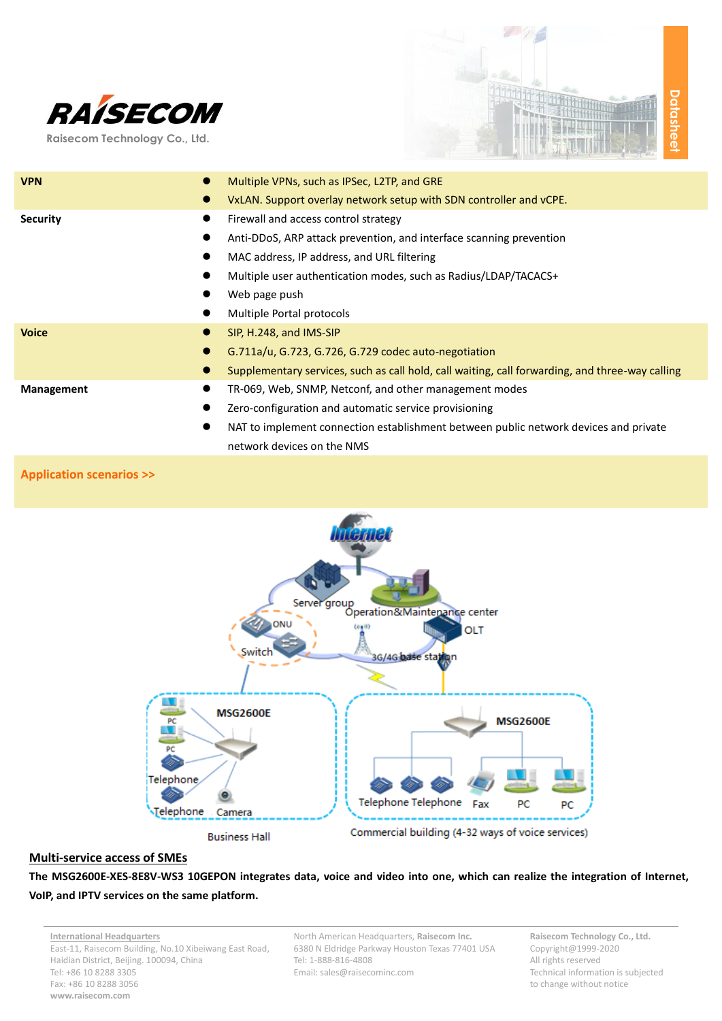

**Raisecom Technology Co., Ltd.**



| <b>VPN</b>                     | Multiple VPNs, such as IPSec, L2TP, and GRE                                                     |
|--------------------------------|-------------------------------------------------------------------------------------------------|
| $\bullet$                      | VxLAN. Support overlay network setup with SDN controller and vCPE.                              |
| <b>Security</b><br>$\bullet$   | Firewall and access control strategy                                                            |
| $\bullet$                      | Anti-DDoS, ARP attack prevention, and interface scanning prevention                             |
|                                | MAC address, IP address, and URL filtering                                                      |
|                                | Multiple user authentication modes, such as Radius/LDAP/TACACS+                                 |
|                                | Web page push                                                                                   |
|                                | Multiple Portal protocols                                                                       |
| <b>Voice</b>                   | SIP, H.248, and IMS-SIP                                                                         |
|                                | G.711a/u, G.723, G.726, G.729 codec auto-negotiation                                            |
|                                | Supplementary services, such as call hold, call waiting, call forwarding, and three-way calling |
| <b>Management</b><br>$\bullet$ | TR-069, Web, SNMP, Netconf, and other management modes                                          |
| $\bullet$                      | Zero-configuration and automatic service provisioning                                           |
|                                | NAT to implement connection establishment between public network devices and private            |
|                                | network devices on the NMS                                                                      |

#### **Application scenarios >>**



#### **Multi-service access of SMEs**

**The MSG2600E-XES-8E8V-WS3 10GEPON integrates data, voice and video into one, which can realize the integration of Internet, VoIP, and IPTV services on the same platform.**

**International Headquarters** East-11, Raisecom Building, No.10 Xibeiwang East Road, Haidian District, Beijing. 100094, China Tel: +86 10 8288 3305 Fax: +86 10 8288 3056 **www.raisecom.com**

North American Headquarters, **Raisecom Inc.** 6380 N Eldridge Parkway Houston Texas 77401 USA Tel: 1-888-816-4808 Email: sales@raisecominc.com

**Raisecom Technology Co., Ltd.** Copyright@1999-2020 All rights reserved Technical information is subjected to change without notice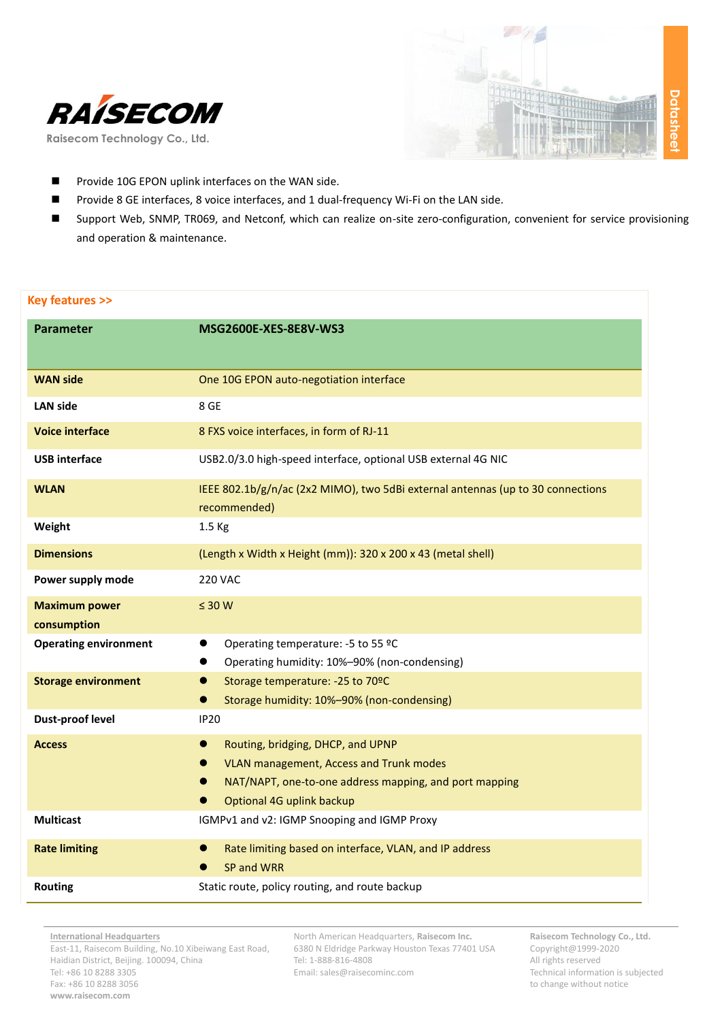



- **Provide 10G EPON uplink interfaces on the WAN side.**
- Provide 8 GE interfaces, 8 voice interfaces, and 1 dual-frequency Wi-Fi on the LAN side.
- Support Web, SNMP, TR069, and Netconf, which can realize on-site zero-configuration, convenient for service provisioning and operation & maintenance.

### **Key features >>**

| <b>Parameter</b>                    | <b>MSG2600E-XES-8E8V-WS3</b>                                                                                                                                                                      |
|-------------------------------------|---------------------------------------------------------------------------------------------------------------------------------------------------------------------------------------------------|
| <b>WAN side</b>                     | One 10G EPON auto-negotiation interface                                                                                                                                                           |
| <b>LAN side</b>                     | 8 GE                                                                                                                                                                                              |
| <b>Voice interface</b>              | 8 FXS voice interfaces, in form of RJ-11                                                                                                                                                          |
| <b>USB</b> interface                | USB2.0/3.0 high-speed interface, optional USB external 4G NIC                                                                                                                                     |
| <b>WLAN</b>                         | IEEE 802.1b/g/n/ac (2x2 MIMO), two 5dBi external antennas (up to 30 connections<br>recommended)                                                                                                   |
| Weight                              | 1.5 Kg                                                                                                                                                                                            |
| <b>Dimensions</b>                   | (Length x Width x Height (mm)): 320 x 200 x 43 (metal shell)                                                                                                                                      |
| Power supply mode                   | <b>220 VAC</b>                                                                                                                                                                                    |
| <b>Maximum power</b><br>consumption | $\leq 30$ W                                                                                                                                                                                       |
| <b>Operating environment</b>        | Operating temperature: -5 to 55 °C<br>$\bullet$<br>Operating humidity: 10%-90% (non-condensing)                                                                                                   |
| <b>Storage environment</b>          | Storage temperature: -25 to 70ºC<br>$\bullet$<br>Storage humidity: 10%-90% (non-condensing)<br>$\bullet$                                                                                          |
| <b>Dust-proof level</b>             | <b>IP20</b>                                                                                                                                                                                       |
| <b>Access</b>                       | Routing, bridging, DHCP, and UPNP<br>$\bullet$<br><b>VLAN management, Access and Trunk modes</b><br>0<br>NAT/NAPT, one-to-one address mapping, and port mapping<br>●<br>Optional 4G uplink backup |
| <b>Multicast</b>                    | IGMPv1 and v2: IGMP Snooping and IGMP Proxy                                                                                                                                                       |
| <b>Rate limiting</b>                | Rate limiting based on interface, VLAN, and IP address<br>$\bullet$<br>SP and WRR                                                                                                                 |
| <b>Routing</b>                      | Static route, policy routing, and route backup                                                                                                                                                    |

North American Headquarters, **Raisecom Inc.** 6380 N Eldridge Parkway Houston Texas 77401 USA Tel: 1-888-816-4808 Email: sales@raisecominc.com

**Raisecom Technology Co., Ltd.** Copyright@1999-2020 All rights reserved Technical information is subjected to change without notice